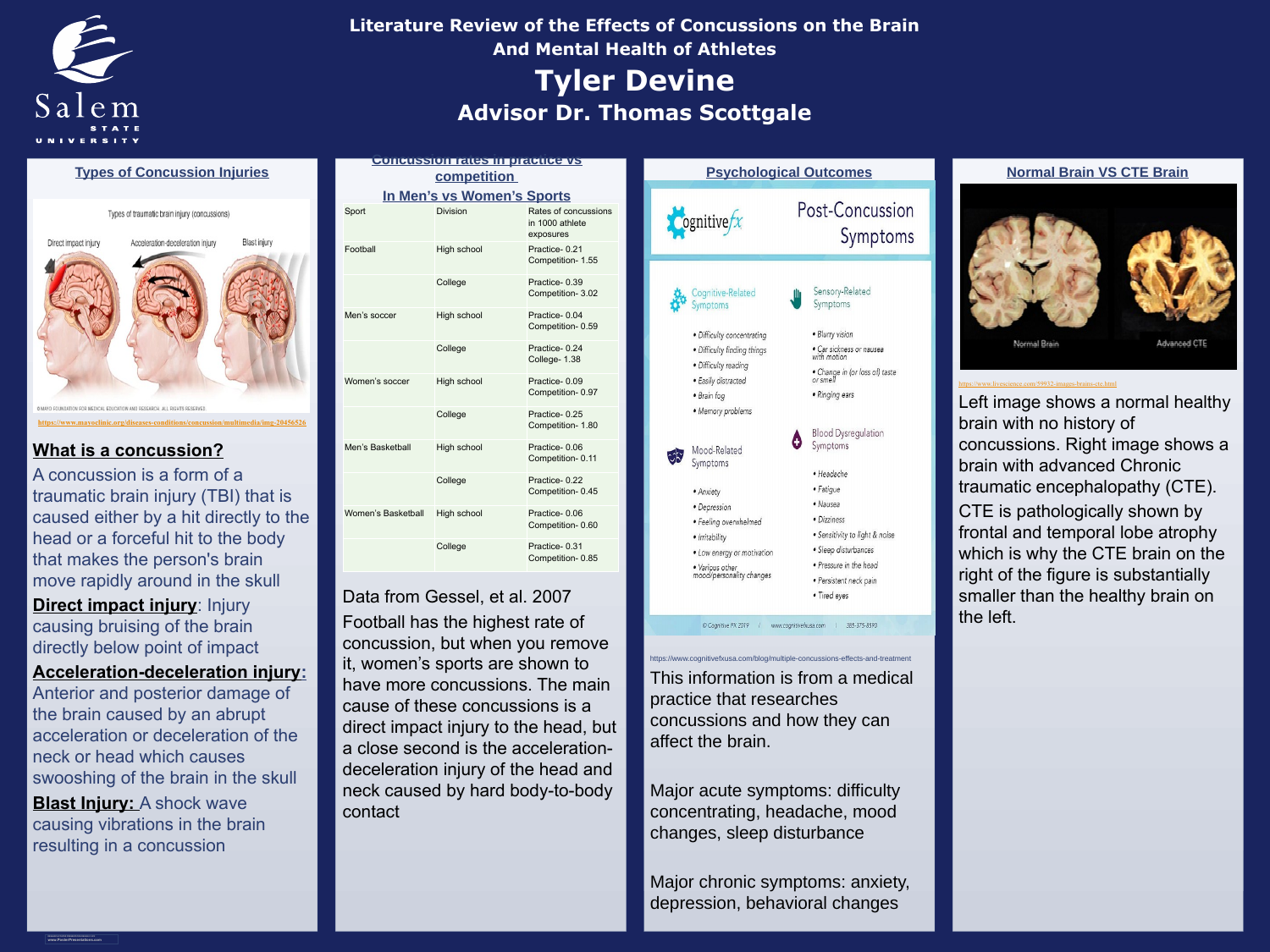**RESEARCH POSTER PRESENTATION DESIGN © 2012 www.PosterPresentations.com**



# **Types of Concussion Injuries**

Types of traumatic brain injury (concussions)



**<https://www.mayoclinic.org/diseases-conditions/concussion/multimedia/img-20456526>**

# **Concussion rates in practice vs competition**

Data from Gessel, et al. 2007 Football has the highest rate of concussion, but when you remove it, women's sports are shown to have more concussions. The main cause of these concussions is a direct impact injury to the head, but a close second is the accelerationdeceleration injury of the head and neck caused by hard body-to-body contact

https://www.cognitivefxusa.com/blog/multiple-concussions-effects-and-treatment

This information is from a medical practice that researches concussions and how they can affect the brain.

Major acute symptoms: difficulty concentrating, headache, mood changes, sleep disturbance



**Direct impact injury: Injury** causing bruising of the brain directly below point of impact

> Major chronic symptoms: anxiety, depression, behavioral changes

# Post-Concussion Symptoms



**Cognitive** 

- 
- · Difficulty concentrating
- Difficulty finding things
- Difficulty reading
- Easily distracted
- $\bullet$  Brain fog
- Memory problems



Mood-Related Symptoms

- Anxiety
- Depression
- Feeling overwhelmed
- Irritability
- Low energy or motivation
- Various other<br>mood/personality changes



- Sensory-Related
- Blurry vision
- Car sickness or nausea<br>with motion
- Change in (or loss of) taste
- $\bullet$  Ringing ears
- **Blood Dysregulation** Symptoms
	- · Headache
	- Fatigue
	- Nausea
	- · Dizziness
	- Sensitivity to light & noise
	- Sleep disturbances
	- Pressure in the head
	- Persistent neck pain
	- Tired eyes

Cognitive FX 2019 | www.cognitivefxusa.com | 385-375-8590

Left image shows a normal healthy brain with no history of concussions. Right image shows a brain with advanced Chronic traumatic encephalopathy (CTE). CTE is pathologically shown by frontal and temporal lobe atrophy which is why the CTE brain on the right of the figure is substantially smaller than the healthy brain on the left.

# **Psychological Outcomes Normal Brain VS CTE Brain**

<https://www.livescience.com/59932-images-brains-cte.html>

# **What is a concussion?**

A concussion is a form of a traumatic brain injury (TBI) that is caused either by a hit directly to the head or a forceful hit to the body that makes the person's brain move rapidly around in the skull

| In Men's vs Women's Sports |                    |                                                      |
|----------------------------|--------------------|------------------------------------------------------|
| <b>Sport</b>               | <b>Division</b>    | Rates of concussions<br>in 1000 athlete<br>exposures |
| Football                   | High school        | Practice-0.21<br>Competition- 1.55                   |
|                            | College            | Practice-0.39<br><b>Competition-3.02</b>             |
| Men's soccer               | <b>High school</b> | Practice-0.04<br>Competition-0.59                    |
|                            | College            | Practice-0.24<br>College- 1.38                       |
| Women's soccer             | High school        | Practice-0.09<br>Competition-0.97                    |
|                            | College            | Practice-0.25<br>Competition-1.80                    |
| Men's Basketball           | <b>High school</b> | Practice-0.06<br>Competition-0.11                    |
|                            | College            | Practice-0.22<br>Competition-0.45                    |
| Women's Basketball         | High school        | Practice-0.06<br>Competition-0.60                    |
|                            | College            | Practice-0.31<br>Competition-0.85                    |

**Acceleration-deceleration injury:**  Anterior and posterior damage of the brain caused by an abrupt acceleration or deceleration of the neck or head which causes swooshing of the brain in the skull **Blast Injury: A shock wave** causing vibrations in the brain resulting in a concussion

# **Advisor Dr. Thomas Scottgale Tyler Devine Literature Review of the Effects of Concussions on the Brain And Mental Health of Athletes**